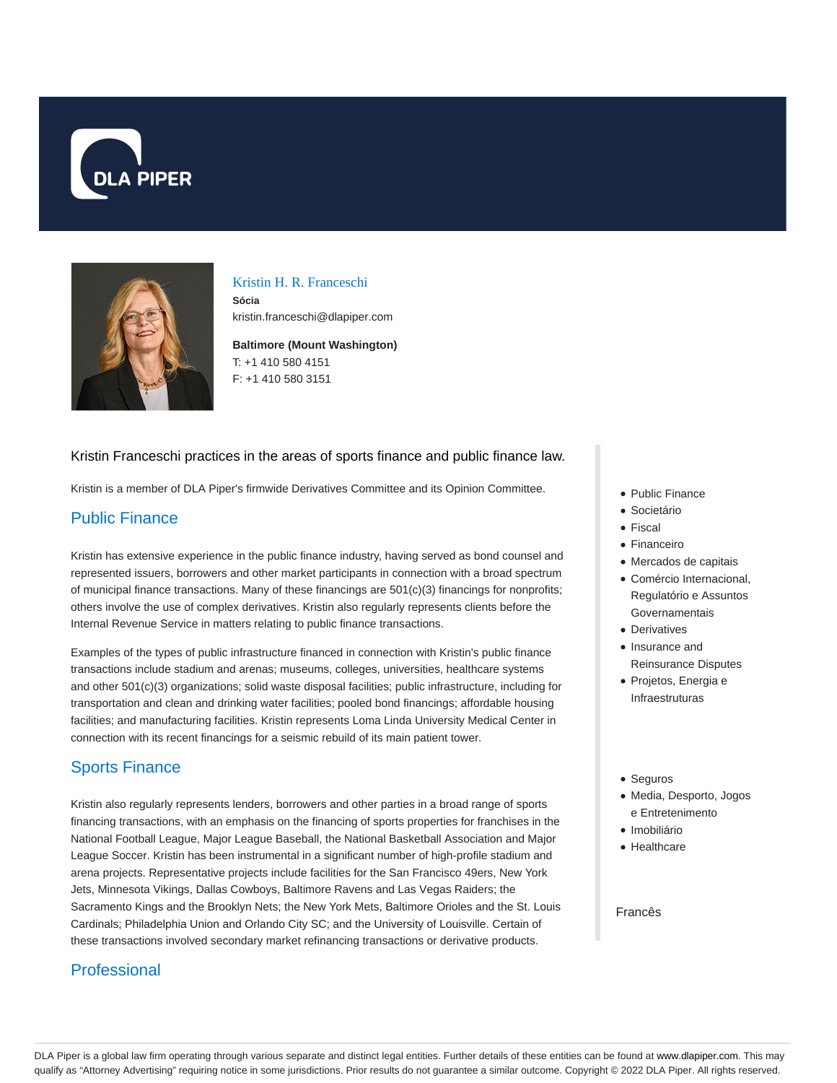



#### Kristin H. R. Franceschi

**Sócia** kristin.franceschi@dlapiper.com

**Baltimore (Mount Washington)** T: +1 410 580 4151 F: +1 410 580 3151

#### Kristin Franceschi practices in the areas of sports finance and public finance law.

Kristin is a member of DLA Piper's firmwide Derivatives Committee and its Opinion Committee.

## Public Finance

Kristin has extensive experience in the public finance industry, having served as bond counsel and represented issuers, borrowers and other market participants in connection with a broad spectrum of municipal finance transactions. Many of these financings are 501(c)(3) financings for nonprofits; others involve the use of complex derivatives. Kristin also regularly represents clients before the Internal Revenue Service in matters relating to public finance transactions.

Examples of the types of public infrastructure financed in connection with Kristin's public finance transactions include stadium and arenas; museums, colleges, universities, healthcare systems and other 501(c)(3) organizations; solid waste disposal facilities; public infrastructure, including for transportation and clean and drinking water facilities; pooled bond financings; affordable housing facilities; and manufacturing facilities. Kristin represents Loma Linda University Medical Center in connection with its recent financings for a seismic rebuild of its main patient tower.

# Sports Finance

Kristin also regularly represents lenders, borrowers and other parties in a broad range of sports financing transactions, with an emphasis on the financing of sports properties for franchises in the National Football League, Major League Baseball, the National Basketball Association and Major League Soccer. Kristin has been instrumental in a significant number of high-profile stadium and arena projects. Representative projects include facilities for the San Francisco 49ers, New York Jets, Minnesota Vikings, Dallas Cowboys, Baltimore Ravens and Las Vegas Raiders; the Sacramento Kings and the Brooklyn Nets; the New York Mets, Baltimore Orioles and the St. Louis Cardinals; Philadelphia Union and Orlando City SC; and the University of Louisville. Certain of these transactions involved secondary market refinancing transactions or derivative products.

# **Professional**

- Public Finance
- **Societário**
- Fiscal
- Financeiro
- Mercados de capitais
- Comércio Internacional, Regulatório e Assuntos Governamentais
- **Derivatives**
- Insurance and Reinsurance Disputes
- Projetos, Energia e Infraestruturas
- Seguros
- Media, Desporto, Jogos e Entretenimento
- · Imobiliário
- Healthcare

#### Francês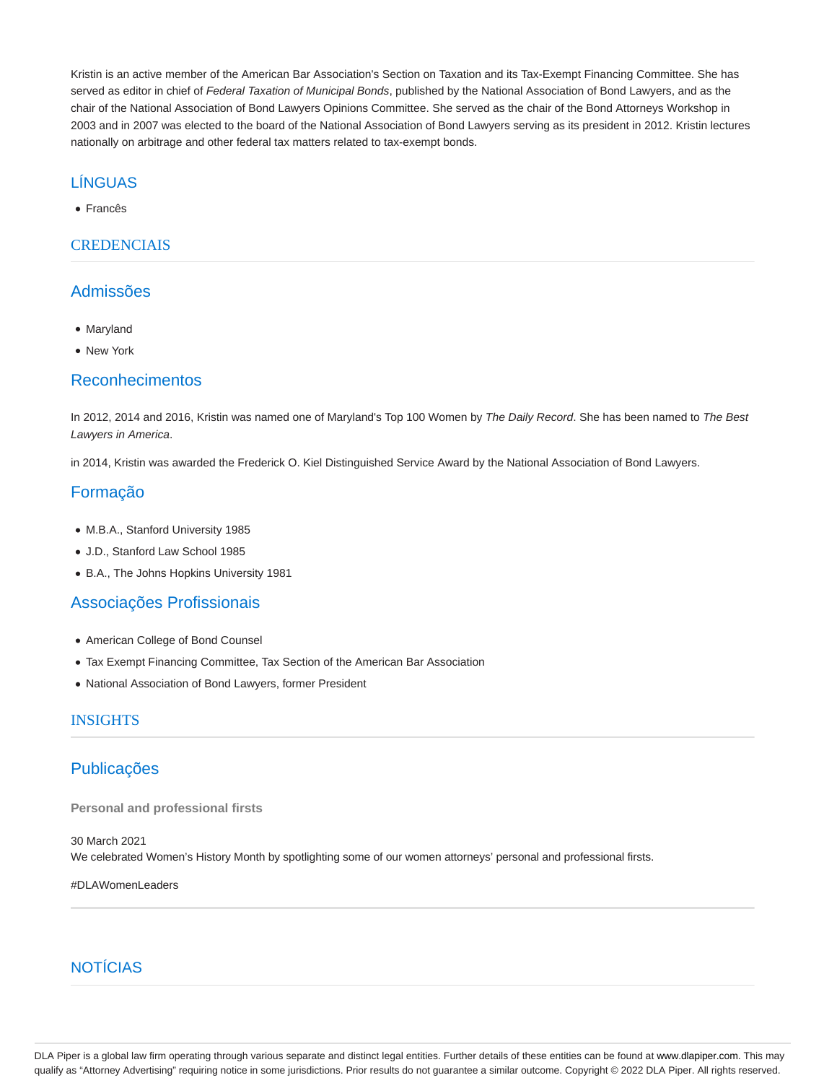Kristin is an active member of the American Bar Association's Section on Taxation and its Tax-Exempt Financing Committee. She has served as editor in chief of Federal Taxation of Municipal Bonds, published by the National Association of Bond Lawyers, and as the chair of the National Association of Bond Lawyers Opinions Committee. She served as the chair of the Bond Attorneys Workshop in 2003 and in 2007 was elected to the board of the National Association of Bond Lawyers serving as its president in 2012. Kristin lectures nationally on arbitrage and other federal tax matters related to tax-exempt bonds.

### LÍNGUAS

Francês

#### CREDENCIAIS

### Admissões

- Maryland
- New York

#### Reconhecimentos

In 2012, 2014 and 2016, Kristin was named one of Maryland's Top 100 Women by The Daily Record. She has been named to The Best Lawyers in America.

in 2014, Kristin was awarded the Frederick O. Kiel Distinguished Service Award by the National Association of Bond Lawyers.

## Formação

- M.B.A., Stanford University 1985
- J.D., Stanford Law School 1985
- B.A., The Johns Hopkins University 1981

## Associações Profissionais

- American College of Bond Counsel
- Tax Exempt Financing Committee, Tax Section of the American Bar Association
- National Association of Bond Lawyers, former President

#### INSIGHTS

## Publicações

**Personal and professional firsts**

30 March 2021 We celebrated Women's History Month by spotlighting some of our women attorneys' personal and professional firsts.

#DLAWomenLeaders

# **NOTÍCIAS**

DLA Piper is a global law firm operating through various separate and distinct legal entities. Further details of these entities can be found at www.dlapiper.com. This may qualify as "Attorney Advertising" requiring notice in some jurisdictions. Prior results do not guarantee a similar outcome. Copyright © 2022 DLA Piper. All rights reserved.